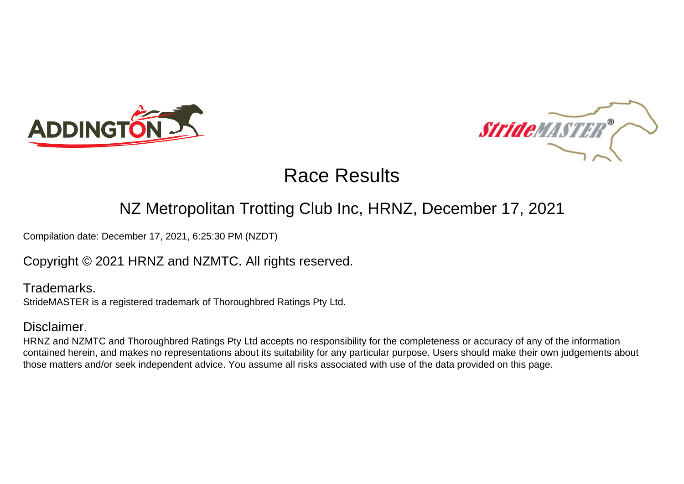



# Race Results

## NZ Metropolitan Trotting Club Inc, HRNZ, December 17, 2021

Compilation date: December 17, 2021, 6:25:30 PM (NZDT)

Copyright © 2021 HRNZ and NZMTC. All rights reserved.

Trademarks. StrideMASTER is a registered trademark of Thoroughbred Ratings Pty Ltd.

## Disclaimer.

HRNZ and NZMTC and Thoroughbred Ratings Pty Ltd accepts no responsibility for the completeness or accuracy of any of the information contained herein, and makes no representations about its suitability for any particular purpose. Users should make their own judgements about those matters and/or seek independent advice. You assume all risks associated with use of the data provided on this page.